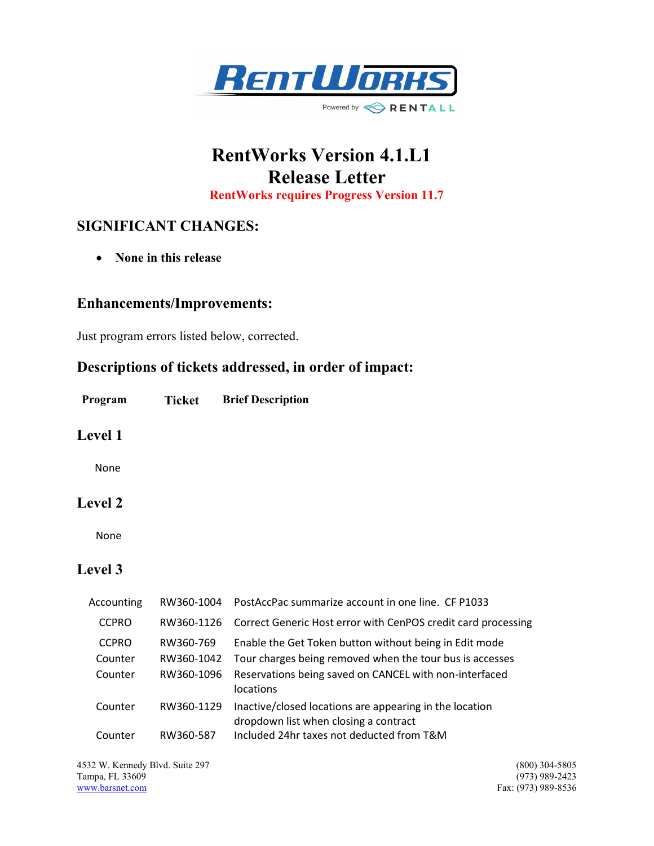

# RentWorks Version 4.1.L1 Release Letter RentWorks requires Progress Version 11.7

## SIGNIFICANT CHANGES:

• None in this release

#### Enhancements/Improvements:

Just program errors listed below, corrected.

## Descriptions of tickets addressed, in order of impact:

Program Ticket Brief Description

#### Level 1

None

#### Level 2

None

### Level 3

| Accounting   | RW360-1004 | PostAccPac summarize account in one line. CF P1033                                               |
|--------------|------------|--------------------------------------------------------------------------------------------------|
| <b>CCPRO</b> | RW360-1126 | Correct Generic Host error with CenPOS credit card processing                                    |
| <b>CCPRO</b> | RW360-769  | Enable the Get Token button without being in Edit mode                                           |
| Counter      | RW360-1042 | Tour charges being removed when the tour bus is accesses                                         |
| Counter      | RW360-1096 | Reservations being saved on CANCEL with non-interfaced<br>locations                              |
| Counter      | RW360-1129 | Inactive/closed locations are appearing in the location<br>dropdown list when closing a contract |
| Counter      | RW360-587  | Included 24hr taxes not deducted from T&M                                                        |

4532 W. Kennedy Blvd. Suite 297 (800) 304-5805<br>
Tampa, FL 33609 (973) 989-2423 Tampa, FL 33609<br>www.barsnet.com

Fax: (973) 989-8536